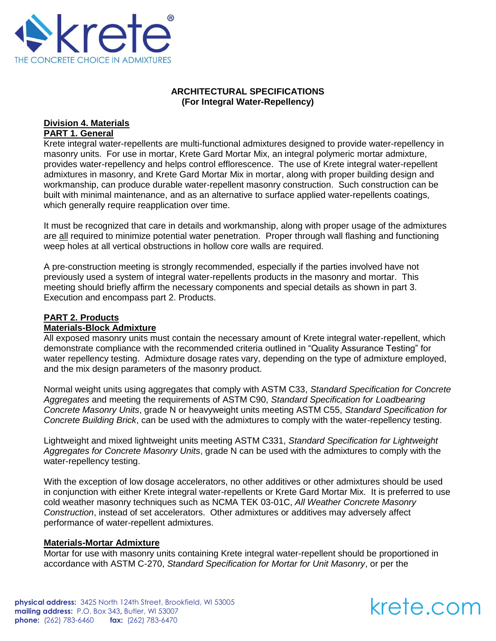

# **ARCHITECTURAL SPECIFICATIONS (For Integral Water-Repellency)**

### **Division 4. Materials PART 1. General**

Krete integral water-repellents are multi-functional admixtures designed to provide water-repellency in masonry units. For use in mortar, Krete Gard Mortar Mix, an integral polymeric mortar admixture, provides water-repellency and helps control efflorescence. The use of Krete integral water-repellent admixtures in masonry, and Krete Gard Mortar Mix in mortar, along with proper building design and workmanship, can produce durable water-repellent masonry construction. Such construction can be built with minimal maintenance, and as an alternative to surface applied water-repellents coatings, which generally require reapplication over time.

It must be recognized that care in details and workmanship, along with proper usage of the admixtures are all required to minimize potential water penetration. Proper through wall flashing and functioning weep holes at all vertical obstructions in hollow core walls are required.

A pre-construction meeting is strongly recommended, especially if the parties involved have not previously used a system of integral water-repellents products in the masonry and mortar. This meeting should briefly affirm the necessary components and special details as shown in part 3. Execution and encompass part 2. Products.

#### **PART 2. Products Materials-Block Admixture**

All exposed masonry units must contain the necessary amount of Krete integral water-repellent, which demonstrate compliance with the recommended criteria outlined in "Quality Assurance Testing" for water repellency testing. Admixture dosage rates vary, depending on the type of admixture employed, and the mix design parameters of the masonry product.

Normal weight units using aggregates that comply with ASTM C33, *Standard Specification for Concrete Aggregates* and meeting the requirements of ASTM C90, *Standard Specification for Loadbearing Concrete Masonry Units*, grade N or heavyweight units meeting ASTM C55, *Standard Specification for Concrete Building Brick*, can be used with the admixtures to comply with the water-repellency testing.

Lightweight and mixed lightweight units meeting ASTM C331, *Standard Specification for Lightweight Aggregates for Concrete Masonry Units*, grade N can be used with the admixtures to comply with the water-repellency testing.

With the exception of low dosage accelerators, no other additives or other admixtures should be used in conjunction with either Krete integral water-repellents or Krete Gard Mortar Mix. It is preferred to use cold weather masonry techniques such as NCMA TEK 03-01C, *All Weather Concrete Masonry Construction*, instead of set accelerators. Other admixtures or additives may adversely affect performance of water-repellent admixtures.

## **Materials-Mortar Admixture**

Mortar for use with masonry units containing Krete integral water-repellent should be proportioned in accordance with ASTM C-270, *Standard Specification for Mortar for Unit Masonry*, or per the